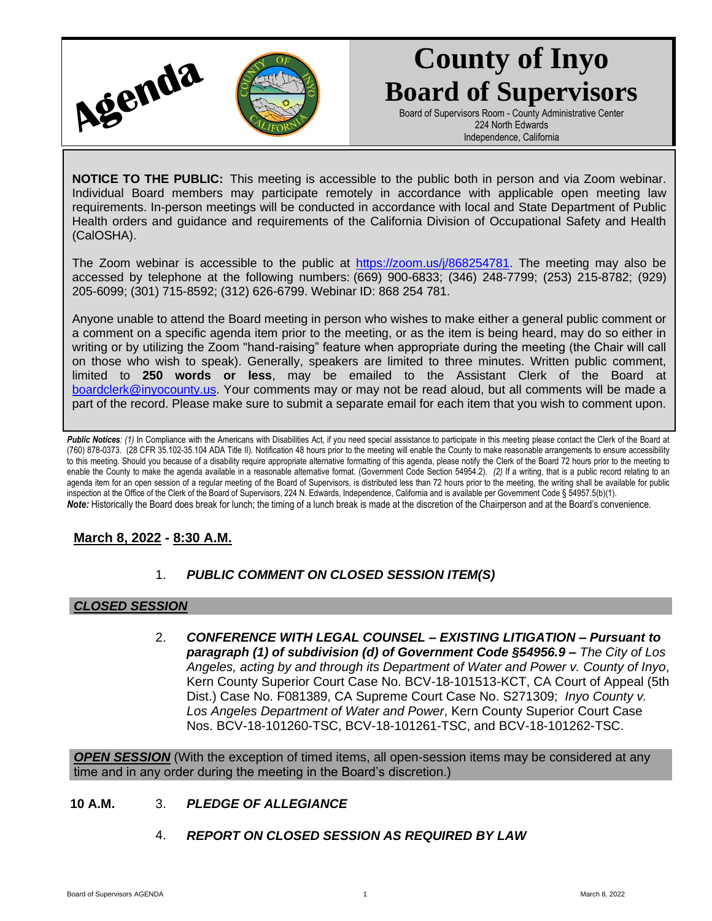

# **County of Inyo Board of Supervisors**

Board of Supervisors Room - County Administrative Center 224 North Edwards Independence, California

**NOTICE TO THE PUBLIC:** This meeting is accessible to the public both in person and via Zoom webinar. Individual Board members may participate remotely in accordance with applicable open meeting law requirements. In-person meetings will be conducted in accordance with local and State Department of Public Health orders and guidance and requirements of the California Division of Occupational Safety and Health (CalOSHA).

The Zoom webinar is accessible to the public at [https://zoom.us/j/868254781.](https://zoom.us/j/868254781) The meeting may also be accessed by telephone at the following numbers: (669) 900-6833; (346) 248-7799; (253) 215-8782; (929) 205-6099; (301) 715-8592; (312) 626-6799. Webinar ID: 868 254 781.

Anyone unable to attend the Board meeting in person who wishes to make either a general public comment or a comment on a specific agenda item prior to the meeting, or as the item is being heard, may do so either in writing or by utilizing the Zoom "hand-raising" feature when appropriate during the meeting (the Chair will call on those who wish to speak). Generally, speakers are limited to three minutes. Written public comment, limited to **250 words or less**, may be emailed to the Assistant Clerk of the Board at [boardclerk@inyocounty.us.](mailto:boardclerk@inyocounty.us) Your comments may or may not be read aloud, but all comments will be made a part of the record. Please make sure to submit a separate email for each item that you wish to comment upon.

Public Notices: (1) In Compliance with the Americans with Disabilities Act, if you need special assistance to participate in this meeting please contact the Clerk of the Board at (760) 878-0373. (28 CFR 35.102-35.104 ADA Title II). Notification 48 hours prior to the meeting will enable the County to make reasonable arrangements to ensure accessibility to this meeting. Should you because of a disability require appropriate alternative formatting of this agenda, please notify the Clerk of the Board 72 hours prior to the meeting to enable the County to make the agenda available in a reasonable alternative format. (Government Code Section 54954.2). *(2)* If a writing, that is a public record relating to an agenda item for an open session of a regular meeting of the Board of Supervisors, is distributed less than 72 hours prior to the meeting, the writing shall be available for public inspection at the Office of the Clerk of the Board of Supervisors, 224 N. Edwards, Independence, California and is available per Government Code § 54957.5(b)(1). *Note:* Historically the Board does break for lunch; the timing of a lunch break is made at the discretion of the Chairperson and at the Board's convenience.

# **March 8, 2022 - 8:30 A.M.**

# 1. *PUBLIC COMMENT ON CLOSED SESSION ITEM(S)*

### *CLOSED SESSION*

2. *CONFERENCE WITH LEGAL COUNSEL – EXISTING LITIGATION – Pursuant to paragraph (1) of subdivision (d) of Government Code §54956.9 – The City of Los Angeles, acting by and through its Department of Water and Power v. County of Inyo*, Kern County Superior Court Case No. BCV-18-101513-KCT, CA Court of Appeal (5th Dist.) Case No. F081389, CA Supreme Court Case No. S271309; *Inyo County v. Los Angeles Department of Water and Power*, Kern County Superior Court Case Nos. BCV-18-101260-TSC, BCV-18-101261-TSC, and BCV-18-101262-TSC.

*OPEN SESSION* (With the exception of timed items, all open-session items may be considered at any time and in any order during the meeting in the Board's discretion.)

### **10 A.M.** 3. *PLEDGE OF ALLEGIANCE*

4. *REPORT ON CLOSED SESSION AS REQUIRED BY LAW*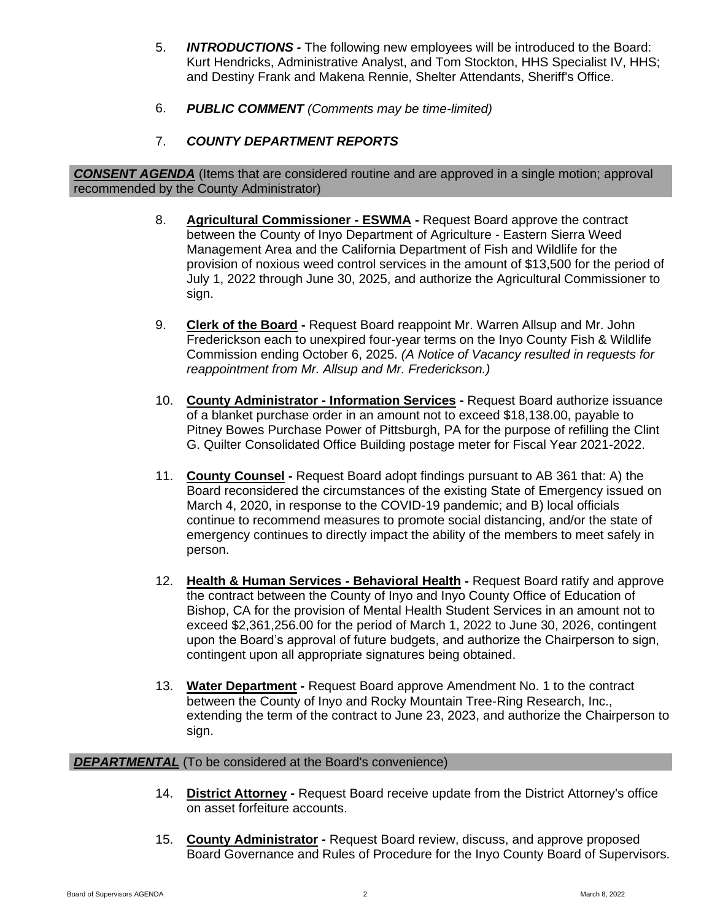- 5. *INTRODUCTIONS -* The following new employees will be introduced to the Board: Kurt Hendricks, Administrative Analyst, and Tom Stockton, HHS Specialist IV, HHS; and Destiny Frank and Makena Rennie, Shelter Attendants, Sheriff's Office.
- 6. *PUBLIC COMMENT (Comments may be time-limited)*
- 7. *COUNTY DEPARTMENT REPORTS*

*CONSENT AGENDA* (Items that are considered routine and are approved in a single motion; approval recommended by the County Administrator)

- 8. **Agricultural Commissioner - ESWMA -** Request Board approve the contract between the County of Inyo Department of Agriculture - Eastern Sierra Weed Management Area and the California Department of Fish and Wildlife for the provision of noxious weed control services in the amount of \$13,500 for the period of July 1, 2022 through June 30, 2025, and authorize the Agricultural Commissioner to sign.
- 9. **Clerk of the Board -** Request Board reappoint Mr. Warren Allsup and Mr. John Frederickson each to unexpired four-year terms on the Inyo County Fish & Wildlife Commission ending October 6, 2025. *(A Notice of Vacancy resulted in requests for reappointment from Mr. Allsup and Mr. Frederickson.)*
- 10. **County Administrator - Information Services -** Request Board authorize issuance of a blanket purchase order in an amount not to exceed \$18,138.00, payable to Pitney Bowes Purchase Power of Pittsburgh, PA for the purpose of refilling the Clint G. Quilter Consolidated Office Building postage meter for Fiscal Year 2021-2022.
- 11. **County Counsel -** Request Board adopt findings pursuant to AB 361 that: A) the Board reconsidered the circumstances of the existing State of Emergency issued on March 4, 2020, in response to the COVID-19 pandemic; and B) local officials continue to recommend measures to promote social distancing, and/or the state of emergency continues to directly impact the ability of the members to meet safely in person.
- 12. **Health & Human Services - Behavioral Health -** Request Board ratify and approve the contract between the County of Inyo and Inyo County Office of Education of Bishop, CA for the provision of Mental Health Student Services in an amount not to exceed \$2,361,256.00 for the period of March 1, 2022 to June 30, 2026, contingent upon the Board's approval of future budgets, and authorize the Chairperson to sign, contingent upon all appropriate signatures being obtained.
- 13. **Water Department -** Request Board approve Amendment No. 1 to the contract between the County of Inyo and Rocky Mountain Tree-Ring Research, Inc., extending the term of the contract to June 23, 2023, and authorize the Chairperson to sign.

#### **DEPARTMENTAL** (To be considered at the Board's convenience)

- 14. **District Attorney -** Request Board receive update from the District Attorney's office on asset forfeiture accounts.
- 15. **County Administrator -** Request Board review, discuss, and approve proposed Board Governance and Rules of Procedure for the Inyo County Board of Supervisors.